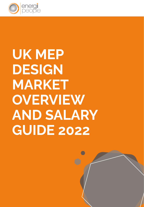

# UK MEP DESIGN

MARKET OVERVIEW AND SALARY GUIDE 2022

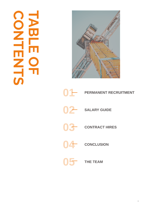















i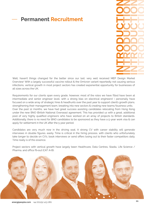#### Permanent Recruitment

**DODD**<br>Internet NO OCTO NOD DOCHOL NERCHOLOGISCH

Well, haven't things changed for the better since our last, very well received MEP Design Market<br>Overview! With a largely successful vaccine rollout & the Omicron variant reportedly not causing serious Overview! With a largely successful vaccine rollout & the Omicron variant reportedly not causing serious infections, vertical growth in most project sectors had created exponential opportunity for businesses of all sizes across the UK.

Requirements for our clients span every grade, however, most of the roles we have filled have been at<br>intermediate and senior engineer level, with a strong bias on electrical engineers! I personally have focused on a wide array of strategic hires & headhunts over the past year to support client's growth plans, strengthening their management team, breaking into new sectors & creating new teams/business units. Over the past 12 months, we have had great success assisting candidates relocating from Hong Kong under the new BNO (British National Overseas) agreement. This has provided us with a great, additional pool of very highly qualified engineers who have worked on an array of projects to British standards. Additionally, there is no need for BNO candidates to be sponsored as they have a 5-year work visa & can additional for cottlement in the UK ofter the Candidates to be sponsored as the sponsored as the sponsored as apply for settlement in the stream in the  $\frac{1}{2}$  year period.

Candidates are very much now in the driving seat. A strong CV with career stability will generate<br>interviews in double figures, easily. Time is critical in the hiring process, with clients who unfortunately interviews in die double figures, easily. This critical in the final ignocess, with each the mile compositors doily. take longer to decide on CV's, book interviews or send offers losing out to their faster competitors daily. Time really is of the essence.

Project sectors with vertical growth have largely been Healthcare, Data Centres, Stadia, Life Science /<br>Pharma, and office fit-out (CAT A+B).

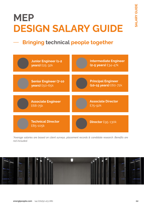### MEP DESIGN SALARY GUIDE

### Bringing technical people together







#### energipeople.com +44 (0)1252 413 080

\*Average salaries are based on client surveys, placement records & candidate research. Benefits are not included.

![](_page_3_Picture_7.jpeg)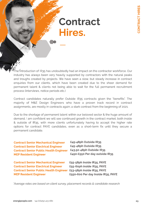### Contract Hires.

CONTRACT HIRES

Contract Senior Mechanical Engineer

Contract Senior Electrical Engineer Contract Senior Public Health Engineer MEP Resident Engineer

The introduction of IR35 has undoubtedly had an impact on the contractor workforce. Our<br>industry has always been very heavily supported by contractors with the natural peaks and troughs created by projects. We have seen a slow, but steady increase in contract enquiries from our clients, which have been created due to the sheer demand for permanent talent & clients not being able to wait for the full permanent recruitment permanent talent talent talent talent talent talent for the full permanent recording process (interviews, notice periods etc.)

Contract candidates naturally prefer Outside IR35 contracts given the "benefits". The<br>majority of M&E Design Engineers who have a proven track record in contract majority of Marine Engineers who have a provincies who have a provincies who have a provincies of 2021 assignments, are mostly in contracts again; a stark contrast from the beginning of 2021.

Due to the shortage of permanent talent within our beloved sector & the huge amount of demand, I am confident we will see continued growth in the contract market, both inside & outside of IR35, with more clients unfortunately having to accept the higher rate & outside of IR35, with more clients unfortunately having to accept the higher rate options for contract PAYE candidates, even as a short-term fix until they secure a permanent candidate.

£45-48ph Outside IR35

£45-48ph Outside IR35 £43.50-48ph Outside IR35 £450-£550 Per day outside IR35

£55-58ph Inside IR35, PAYE £55-60ph inside IR35, PAYE £53-58ph Inside IR35, PAYE £550-600 Per day Inside IR35, PAYE

\*Average rates are based on client survey, placement records & candidate research

Contract Senior Mechanical Engineer Contract Senior Electrical Engineer Contract Senior Public Health Engineer MEP Resident Engineer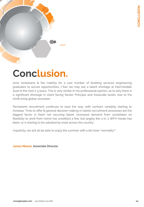![](_page_5_Picture_0.jpeg)

### Conclusion.

2020 lockdowns & the inability for a vast number of Building services engineering graduates to secure opportunities, I fear we may see a talent shortage at intermediate level in the next 2-3 years. This is very similar in my professional opinion, as to why there is a significant shortage in client facing Senior, Principal and Associate levels, due to the 2008-2009 global recession.

Permanent recruitment continues to lead the way, with contract certainly starting to increase. Time to offer & general decision making in clients recruitment processes are the biggest factor in them not securing talent. Increased demand from candidates on flexibility to work from home has unsettled a few, but largely the 3 in, 2 WFH model has been, or is starting to be adopted by most across the country.

Hopefully, we will all be able to enjoy the summer with a bit more "normality"!

energipeople.com +44 (0)1252 413 080

James Mowat, Associate Director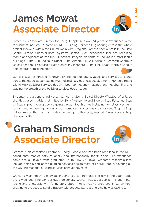James is an Associate Director for Energi People with over 15 years of experience in the recruitment industry, in particular MEP Building Services Engineering across the whole project lifecycle, within the UK, MENA & APAC regions. James's specialism is in the Data Centre/Mission Critical/Critical Systems sector. Such experience includes recruiting teams of engineers across the full project lifecycle on some of the world's most iconic buildings – The Burj Khalifa in Dubai, Dubai Airport, SIDRA Medical & Research Centre in Qatar, Facebook Hyperscale Data Centre in Singapore, Dubai Mall, Dubai Metro & various data centres across the globe.

![](_page_6_Picture_3.jpeg)

James is also responsible for driving Energi People's brand, values and services to clients across the globe, spearheading multi-disciplinary business development, 360 recruitment within MEP Building Services design - both contingency, retained and headhunting, and leading the growth of the building services design team.

Evidently a passionate individual, James is also a Board Director/Trustee of 2 large charities based in Aldershot - Step by Step Partnership and Step by Step Fostering. Step by Step support young people going through tough time's including homelessness. As a resident many years ago when he was homeless as a teenager, James says "Step by Step helped me be the man I am today, by giving me the tools, support & resources to help change my life."

### James Mowat Associate Director

![](_page_6_Picture_1.jpeg)

THE TEAM

Graham Simonds Associate Director

![](_page_6_Picture_7.jpeg)

Graham is an Associate Director at Energi People and has been recruiting in the M&E consultancy market both nationally and internationally for 30 years! His experience comprises all levels from graduates up to MD/CEO level. Graham's responsibilities include being a part of the building services design team at Energi People, covering all the UK/International building services consultancy roles.

Graham's main hobby is birdwatching and you can normally find him in the countryside every weekend if he can get out! Additionally, Graham has a passion for historic motor racing and photography. A funny story about him is that he once spent half an hour chatting to the actress Sandra Bullock without actually realising who he was talking to!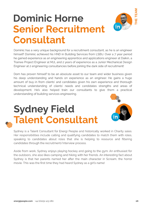## Sydney Field Talent Consultant

![](_page_7_Picture_4.jpeg)

candidates through the recruitment/interview process.

Aside from work, Sydney enjoys playing hockey and going to the gym. An enthusiast for<br>the outdoors, she also likes camping and hiking with her friends. An interesting fact about Sydney is that her parents named her after the main character in Scream, the horror sy and y to a first that the main character in Strategie in Screen in Screen, the main character in Screen in Screen movie. This was the first time they had heard Sydney as a girl's name!

Dominic has a very unique background for a recruitment consultant, as he is an engineer<br>himself! Dominic achieved his HND in Building Services from LSBU. Over a 7 year period he gained experience as an engineering apprentice and applications engineer at Daikin, a Trainee Project Engineer at MJL and 2 years of experience as a Junior Mechanical Design Traineer Project Engineer at MJL and Engineer and Project Project Circuit Month Design Design Design Design De<br>Engineer at 2 engineering eencultaneies before ieining the dark side of reeruitment Engineer at 2 engineering consultancies before joining the dark side of recruitment!

## Dominic Horne Senior Recruitment Consultant

THE TEAM

Sydney is a Talent Consultant for Energi People and historically worked in Charity sales.<br>Her responsibilities include calling and qualifying candidates to match them with roles, speaking to candidates about roles that she is helping to resource and filtering speaking to candidate that she is helping to candidate the internet of the internet of the internet

Dom has proven himself to be an absolute asset to our team and wider business given<br>his deep understanding and hands on experience as an engineer. He gains a huge amount of buy-in from clients' and candidates given his own experience and thorough technical understanding of clients' needs and candidates strengths and areas of development. He's also helped train our consultants to give them a practical developments also helped train our consumers to give them a processes understanding of building services engineering.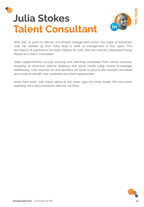# Julia Stokes Talent Consultant

![](_page_8_Picture_1.jpeg)

THE TEAM

energipeople.com +44 (0)1252 413 080

![](_page_8_Picture_7.jpeg)

With over 15 years in internal recruitment management across two types of industries, Julia has worked up from entry level in retail to management in four years. This abundance of experience has been integral for Julia, who has recently onboarded Energi People as a Talent Consultant.

Julia's responsibilities include sourcing and selecting candidates from various avenues, including an extensive internal database and social media using market knowledge. Additionally, Julia searches for and identifies job leads to pass to the relevant consultant

and strives to identify new candidate and client opportunities.

Aside from work, Julia enjoys going to live music gigs and drag shows! She also loves watching crime documentaries with her cat Olive.